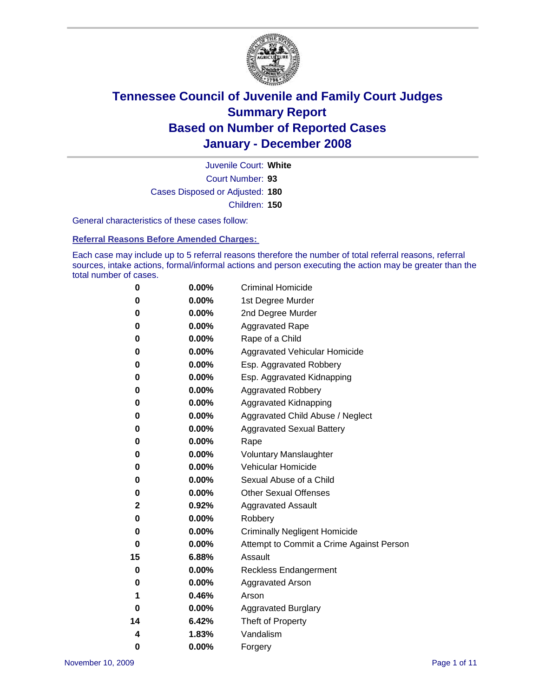

Court Number: **93** Juvenile Court: **White** Cases Disposed or Adjusted: **180** Children: **150**

General characteristics of these cases follow:

**Referral Reasons Before Amended Charges:** 

Each case may include up to 5 referral reasons therefore the number of total referral reasons, referral sources, intake actions, formal/informal actions and person executing the action may be greater than the total number of cases.

| 0  | 0.00%    | <b>Criminal Homicide</b>                 |
|----|----------|------------------------------------------|
| 0  | 0.00%    | 1st Degree Murder                        |
| 0  | $0.00\%$ | 2nd Degree Murder                        |
| 0  | 0.00%    | <b>Aggravated Rape</b>                   |
| 0  | 0.00%    | Rape of a Child                          |
| 0  | 0.00%    | Aggravated Vehicular Homicide            |
| 0  | 0.00%    | Esp. Aggravated Robbery                  |
| 0  | 0.00%    | Esp. Aggravated Kidnapping               |
| 0  | 0.00%    | <b>Aggravated Robbery</b>                |
| 0  | 0.00%    | Aggravated Kidnapping                    |
| 0  | 0.00%    | Aggravated Child Abuse / Neglect         |
| 0  | $0.00\%$ | <b>Aggravated Sexual Battery</b>         |
| 0  | 0.00%    | Rape                                     |
| 0  | 0.00%    | <b>Voluntary Manslaughter</b>            |
| 0  | 0.00%    | Vehicular Homicide                       |
| 0  | 0.00%    | Sexual Abuse of a Child                  |
| 0  | 0.00%    | <b>Other Sexual Offenses</b>             |
| 2  | 0.92%    | <b>Aggravated Assault</b>                |
| 0  | $0.00\%$ | Robbery                                  |
| 0  | 0.00%    | <b>Criminally Negligent Homicide</b>     |
| 0  | 0.00%    | Attempt to Commit a Crime Against Person |
| 15 | 6.88%    | Assault                                  |
| 0  | 0.00%    | <b>Reckless Endangerment</b>             |
| 0  | $0.00\%$ | Aggravated Arson                         |
| 1  | 0.46%    | Arson                                    |
| 0  | 0.00%    | <b>Aggravated Burglary</b>               |
| 14 | 6.42%    | Theft of Property                        |
| 4  | 1.83%    | Vandalism                                |
| 0  | 0.00%    | Forgery                                  |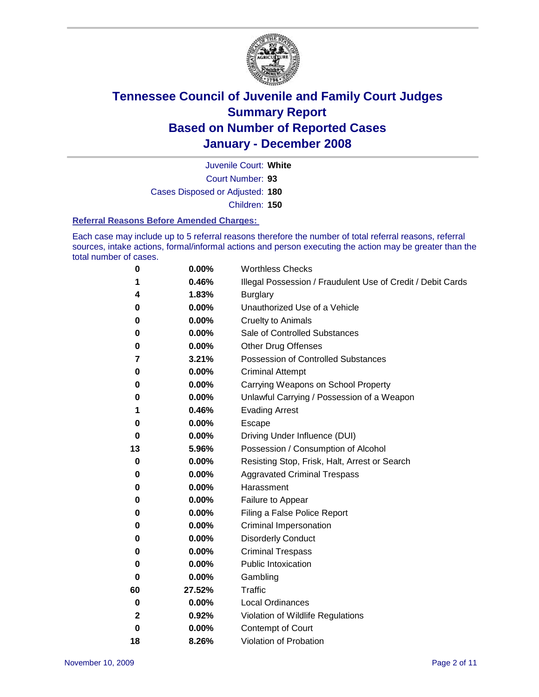

Court Number: **93** Juvenile Court: **White** Cases Disposed or Adjusted: **180** Children: **150**

#### **Referral Reasons Before Amended Charges:**

Each case may include up to 5 referral reasons therefore the number of total referral reasons, referral sources, intake actions, formal/informal actions and person executing the action may be greater than the total number of cases.

| 0  | 0.00%  | <b>Worthless Checks</b>                                     |
|----|--------|-------------------------------------------------------------|
| 1  | 0.46%  | Illegal Possession / Fraudulent Use of Credit / Debit Cards |
| 4  | 1.83%  | <b>Burglary</b>                                             |
| 0  | 0.00%  | Unauthorized Use of a Vehicle                               |
| 0  | 0.00%  | <b>Cruelty to Animals</b>                                   |
| 0  | 0.00%  | Sale of Controlled Substances                               |
| 0  | 0.00%  | <b>Other Drug Offenses</b>                                  |
| 7  | 3.21%  | <b>Possession of Controlled Substances</b>                  |
| 0  | 0.00%  | <b>Criminal Attempt</b>                                     |
| 0  | 0.00%  | Carrying Weapons on School Property                         |
| 0  | 0.00%  | Unlawful Carrying / Possession of a Weapon                  |
| 1  | 0.46%  | <b>Evading Arrest</b>                                       |
| 0  | 0.00%  | Escape                                                      |
| 0  | 0.00%  | Driving Under Influence (DUI)                               |
| 13 | 5.96%  | Possession / Consumption of Alcohol                         |
| 0  | 0.00%  | Resisting Stop, Frisk, Halt, Arrest or Search               |
| 0  | 0.00%  | <b>Aggravated Criminal Trespass</b>                         |
| 0  | 0.00%  | Harassment                                                  |
| 0  | 0.00%  | Failure to Appear                                           |
| 0  | 0.00%  | Filing a False Police Report                                |
| 0  | 0.00%  | Criminal Impersonation                                      |
| 0  | 0.00%  | <b>Disorderly Conduct</b>                                   |
| 0  | 0.00%  | <b>Criminal Trespass</b>                                    |
| 0  | 0.00%  | <b>Public Intoxication</b>                                  |
| 0  | 0.00%  | Gambling                                                    |
| 60 | 27.52% | Traffic                                                     |
| 0  | 0.00%  | <b>Local Ordinances</b>                                     |
| 2  | 0.92%  | Violation of Wildlife Regulations                           |
| 0  | 0.00%  | Contempt of Court                                           |
| 18 | 8.26%  | Violation of Probation                                      |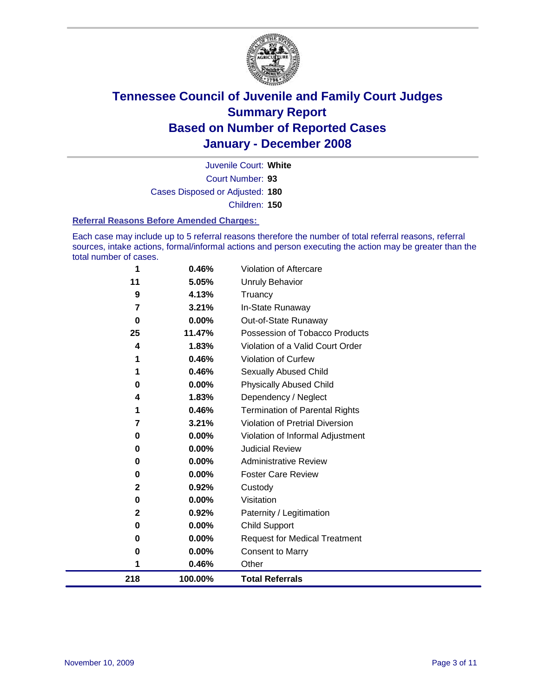

Court Number: **93** Juvenile Court: **White** Cases Disposed or Adjusted: **180** Children: **150**

#### **Referral Reasons Before Amended Charges:**

Each case may include up to 5 referral reasons therefore the number of total referral reasons, referral sources, intake actions, formal/informal actions and person executing the action may be greater than the total number of cases.

| 0.00%<br>0<br>0.00%<br>0<br>$\mathbf{2}$<br>0.92%<br>$0.00\%$<br>0<br>$\mathbf{2}$<br>0.92%<br>$0.00\%$<br>0<br>0.00%<br>0<br>0.00%<br>0<br>0.46% | <b>Administrative Review</b><br><b>Foster Care Review</b><br>Custody<br>Visitation<br>Paternity / Legitimation<br>Child Support<br><b>Request for Medical Treatment</b><br><b>Consent to Marry</b><br>Other |
|---------------------------------------------------------------------------------------------------------------------------------------------------|-------------------------------------------------------------------------------------------------------------------------------------------------------------------------------------------------------------|
|                                                                                                                                                   |                                                                                                                                                                                                             |
|                                                                                                                                                   |                                                                                                                                                                                                             |
|                                                                                                                                                   |                                                                                                                                                                                                             |
|                                                                                                                                                   |                                                                                                                                                                                                             |
|                                                                                                                                                   |                                                                                                                                                                                                             |
|                                                                                                                                                   |                                                                                                                                                                                                             |
|                                                                                                                                                   |                                                                                                                                                                                                             |
|                                                                                                                                                   |                                                                                                                                                                                                             |
|                                                                                                                                                   |                                                                                                                                                                                                             |
| $0.00\%$<br>0                                                                                                                                     | <b>Judicial Review</b>                                                                                                                                                                                      |
| $0.00\%$<br>0                                                                                                                                     | Violation of Informal Adjustment                                                                                                                                                                            |
| 3.21%<br>7                                                                                                                                        | <b>Violation of Pretrial Diversion</b>                                                                                                                                                                      |
| 0.46%<br>1                                                                                                                                        | <b>Termination of Parental Rights</b>                                                                                                                                                                       |
| 4                                                                                                                                                 | Dependency / Neglect                                                                                                                                                                                        |
| 0                                                                                                                                                 | <b>Physically Abused Child</b>                                                                                                                                                                              |
|                                                                                                                                                   | <b>Sexually Abused Child</b>                                                                                                                                                                                |
|                                                                                                                                                   | Violation of Curfew                                                                                                                                                                                         |
|                                                                                                                                                   | Violation of a Valid Court Order                                                                                                                                                                            |
|                                                                                                                                                   | Out-of-State Runaway<br>Possession of Tobacco Products                                                                                                                                                      |
|                                                                                                                                                   | In-State Runaway                                                                                                                                                                                            |
|                                                                                                                                                   | Truancy                                                                                                                                                                                                     |
|                                                                                                                                                   | Unruly Behavior                                                                                                                                                                                             |
|                                                                                                                                                   | Violation of Aftercare                                                                                                                                                                                      |
| 11<br>1                                                                                                                                           | 0.46%<br>5.05%<br>4.13%<br>9<br>7<br>3.21%<br>0.00%<br>$\bf{0}$<br>25<br>11.47%<br>1.83%<br>4<br>0.46%<br>0.46%<br>$0.00\%$<br>1.83%                                                                        |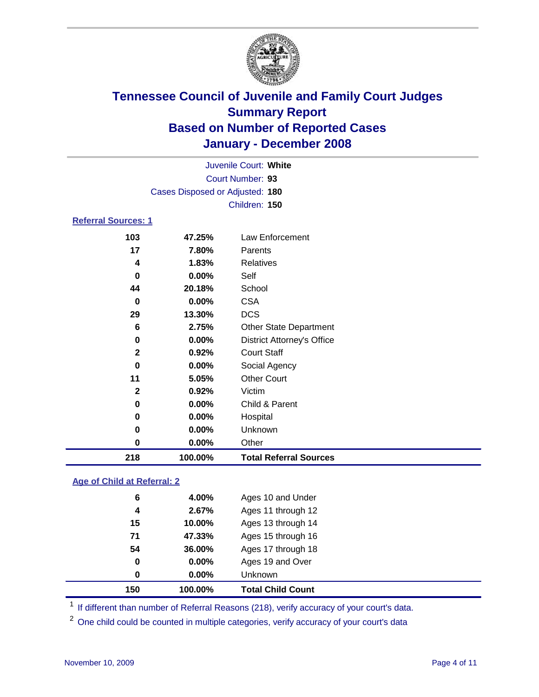

| Juvenile Court: White           |                  |                                   |  |  |  |  |  |
|---------------------------------|------------------|-----------------------------------|--|--|--|--|--|
|                                 | Court Number: 93 |                                   |  |  |  |  |  |
| Cases Disposed or Adjusted: 180 |                  |                                   |  |  |  |  |  |
|                                 | Children: 150    |                                   |  |  |  |  |  |
| <b>Referral Sources: 1</b>      |                  |                                   |  |  |  |  |  |
| 103                             | 47.25%           | Law Enforcement                   |  |  |  |  |  |
| 17                              | 7.80%            | Parents                           |  |  |  |  |  |
| 4                               | 1.83%            | Relatives                         |  |  |  |  |  |
| $\bf{0}$                        | $0.00\%$         | Self                              |  |  |  |  |  |
| 44                              | 20.18%           | School                            |  |  |  |  |  |
| 0                               | 0.00%            | <b>CSA</b>                        |  |  |  |  |  |
| 29                              | 13.30%           | <b>DCS</b>                        |  |  |  |  |  |
| 6                               | 2.75%            | <b>Other State Department</b>     |  |  |  |  |  |
| 0                               | 0.00%            | <b>District Attorney's Office</b> |  |  |  |  |  |
| $\mathbf{2}$                    | 0.92%            | <b>Court Staff</b>                |  |  |  |  |  |
| $\bf{0}$                        | 0.00%            | Social Agency                     |  |  |  |  |  |
| 11                              | 5.05%            | <b>Other Court</b>                |  |  |  |  |  |
| $\mathbf{2}$                    | 0.92%            | Victim                            |  |  |  |  |  |
| 0                               | 0.00%            | Child & Parent                    |  |  |  |  |  |
| 0                               | $0.00\%$         | Hospital                          |  |  |  |  |  |
| 0                               | $0.00\%$         | Unknown                           |  |  |  |  |  |
| 0                               | 0.00%            | Other                             |  |  |  |  |  |

### **Age of Child at Referral: 2**

| 150 | 100.00%  | <b>Total Child Count</b> |
|-----|----------|--------------------------|
| 0   | 0.00%    | <b>Unknown</b>           |
| 0   | $0.00\%$ | Ages 19 and Over         |
| 54  | 36.00%   | Ages 17 through 18       |
| 71  | 47.33%   | Ages 15 through 16       |
| 15  | 10.00%   | Ages 13 through 14       |
| 4   | 2.67%    | Ages 11 through 12       |
| 6   | 4.00%    | Ages 10 and Under        |

<sup>1</sup> If different than number of Referral Reasons (218), verify accuracy of your court's data.

**100.00% Total Referral Sources**

<sup>2</sup> One child could be counted in multiple categories, verify accuracy of your court's data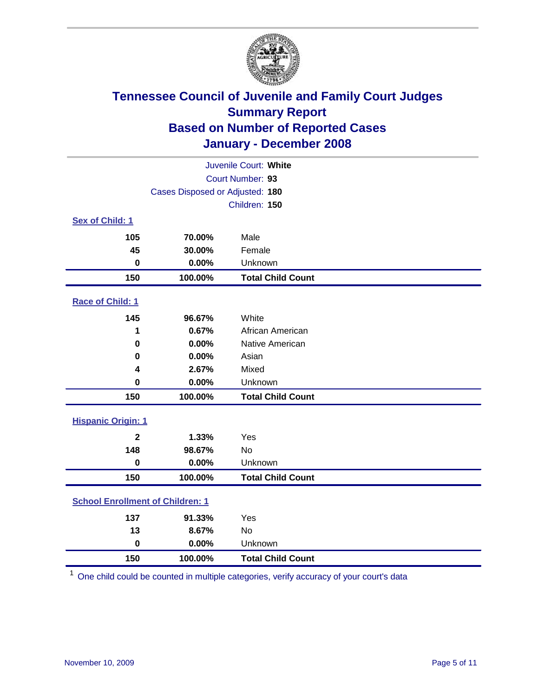

| Juvenile Court: White                   |                                 |                          |  |  |  |
|-----------------------------------------|---------------------------------|--------------------------|--|--|--|
| Court Number: 93                        |                                 |                          |  |  |  |
|                                         | Cases Disposed or Adjusted: 180 |                          |  |  |  |
|                                         |                                 | Children: 150            |  |  |  |
| Sex of Child: 1                         |                                 |                          |  |  |  |
| 105                                     | 70.00%                          | Male                     |  |  |  |
| 45                                      | 30.00%                          | Female                   |  |  |  |
| $\bf{0}$                                | 0.00%                           | Unknown                  |  |  |  |
| 150                                     | 100.00%                         | <b>Total Child Count</b> |  |  |  |
| <b>Race of Child: 1</b>                 |                                 |                          |  |  |  |
| 145                                     | 96.67%                          | White                    |  |  |  |
| 1                                       | 0.67%                           | African American         |  |  |  |
| 0                                       | 0.00%                           | Native American          |  |  |  |
| 0                                       | 0.00%                           | Asian                    |  |  |  |
| 4                                       | 2.67%                           | Mixed                    |  |  |  |
| $\bf{0}$                                | 0.00%                           | Unknown                  |  |  |  |
| 150                                     | 100.00%                         | <b>Total Child Count</b> |  |  |  |
| <b>Hispanic Origin: 1</b>               |                                 |                          |  |  |  |
| $\overline{\mathbf{2}}$                 | 1.33%                           | Yes                      |  |  |  |
| 148                                     | 98.67%                          | No                       |  |  |  |
| $\mathbf 0$                             | 0.00%                           | Unknown                  |  |  |  |
| 150                                     | 100.00%                         | <b>Total Child Count</b> |  |  |  |
| <b>School Enrollment of Children: 1</b> |                                 |                          |  |  |  |
| 137                                     | 91.33%                          | Yes                      |  |  |  |
| 13                                      | 8.67%                           | No                       |  |  |  |
| $\mathbf 0$                             | 0.00%                           | Unknown                  |  |  |  |
| 150                                     | 100.00%                         | <b>Total Child Count</b> |  |  |  |

One child could be counted in multiple categories, verify accuracy of your court's data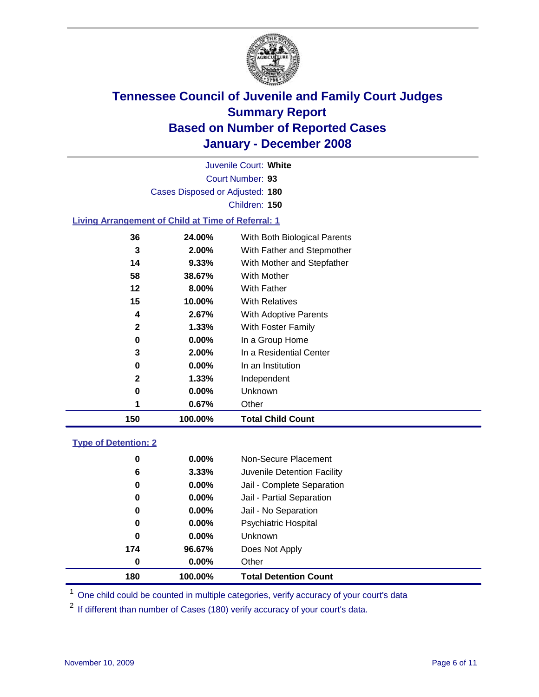

Court Number: **93** Juvenile Court: **White** Cases Disposed or Adjusted: **180** Children: **150**

### **Living Arrangement of Child at Time of Referral: 1**

| 150 | 100.00%  | <b>Total Child Count</b>     |
|-----|----------|------------------------------|
| 1   | 0.67%    | Other                        |
| 0   | $0.00\%$ | Unknown                      |
| 2   | $1.33\%$ | Independent                  |
| 0   | $0.00\%$ | In an Institution            |
| 3   | 2.00%    | In a Residential Center      |
| 0   | $0.00\%$ | In a Group Home              |
| 2   | $1.33\%$ | With Foster Family           |
| 4   | 2.67%    | With Adoptive Parents        |
| 15  | 10.00%   | <b>With Relatives</b>        |
| 12  | 8.00%    | <b>With Father</b>           |
| 58  | 38.67%   | With Mother                  |
| 14  | 9.33%    | With Mother and Stepfather   |
| 3   | 2.00%    | With Father and Stepmother   |
| 36  | 24.00%   | With Both Biological Parents |
|     |          |                              |

#### **Type of Detention: 2**

| 180 | 100.00%       | <b>Total Detention Count</b> |
|-----|---------------|------------------------------|
|     | 0.00%<br>0    | Other                        |
| 174 | 96.67%        | Does Not Apply               |
|     | 0<br>0.00%    | Unknown                      |
|     | $0.00\%$<br>0 | <b>Psychiatric Hospital</b>  |
|     | 0.00%<br>0    | Jail - No Separation         |
|     | 0<br>$0.00\%$ | Jail - Partial Separation    |
|     | $0.00\%$<br>0 | Jail - Complete Separation   |
|     | 6<br>3.33%    | Juvenile Detention Facility  |
|     | 0.00%<br>0    | Non-Secure Placement         |
|     |               |                              |

<sup>1</sup> One child could be counted in multiple categories, verify accuracy of your court's data

<sup>2</sup> If different than number of Cases (180) verify accuracy of your court's data.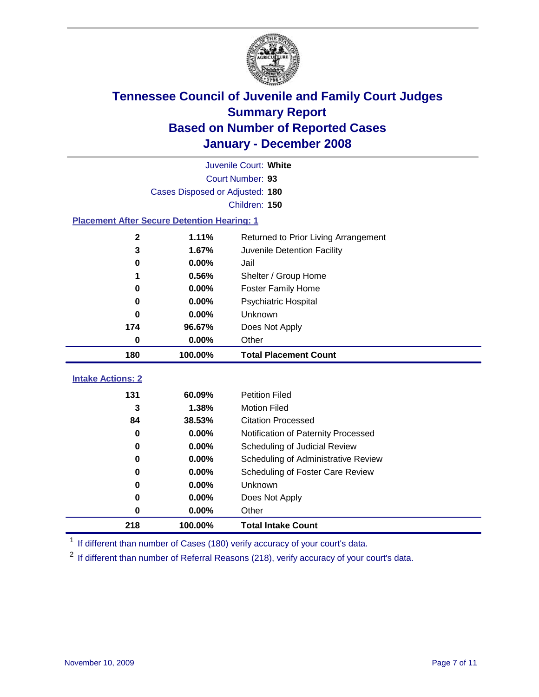

|                                                    | Juvenile Court: White           |                                      |  |  |  |  |
|----------------------------------------------------|---------------------------------|--------------------------------------|--|--|--|--|
|                                                    | Court Number: 93                |                                      |  |  |  |  |
|                                                    | Cases Disposed or Adjusted: 180 |                                      |  |  |  |  |
|                                                    | Children: 150                   |                                      |  |  |  |  |
| <b>Placement After Secure Detention Hearing: 1</b> |                                 |                                      |  |  |  |  |
| 2                                                  | 1.11%                           | Returned to Prior Living Arrangement |  |  |  |  |
| 3                                                  | 1.67%                           | Juvenile Detention Facility          |  |  |  |  |
| 0                                                  | 0.00%                           | Jail                                 |  |  |  |  |
| 1                                                  | 0.56%                           | Shelter / Group Home                 |  |  |  |  |
| 0                                                  | 0.00%                           | <b>Foster Family Home</b>            |  |  |  |  |
| $\bf{0}$                                           | 0.00%                           | Psychiatric Hospital                 |  |  |  |  |
| 0                                                  | 0.00%                           | Unknown                              |  |  |  |  |
| 174                                                | 96.67%                          | Does Not Apply                       |  |  |  |  |
| 0                                                  | $0.00\%$                        | Other                                |  |  |  |  |
| 180                                                | 100.00%                         | <b>Total Placement Count</b>         |  |  |  |  |
| <b>Intake Actions: 2</b>                           |                                 |                                      |  |  |  |  |
| 131                                                | 60.09%                          | <b>Petition Filed</b>                |  |  |  |  |
| 3                                                  | 1.38%                           | <b>Motion Filed</b>                  |  |  |  |  |
| 84                                                 | 38.53%                          | <b>Citation Processed</b>            |  |  |  |  |
| 0                                                  | 0.00%                           | Notification of Paternity Processed  |  |  |  |  |
| 0                                                  | 0.00%                           | Scheduling of Judicial Review        |  |  |  |  |
| 0                                                  | 0.00%                           | Scheduling of Administrative Review  |  |  |  |  |
| 0                                                  | 0.00%                           | Scheduling of Foster Care Review     |  |  |  |  |
| 0                                                  | 0.00%                           | Unknown                              |  |  |  |  |
| 0                                                  | 0.00%                           | Does Not Apply                       |  |  |  |  |
| 0                                                  | 0.00%                           | Other                                |  |  |  |  |
|                                                    |                                 |                                      |  |  |  |  |
| 218                                                | 100.00%                         | <b>Total Intake Count</b>            |  |  |  |  |

<sup>1</sup> If different than number of Cases (180) verify accuracy of your court's data.

<sup>2</sup> If different than number of Referral Reasons (218), verify accuracy of your court's data.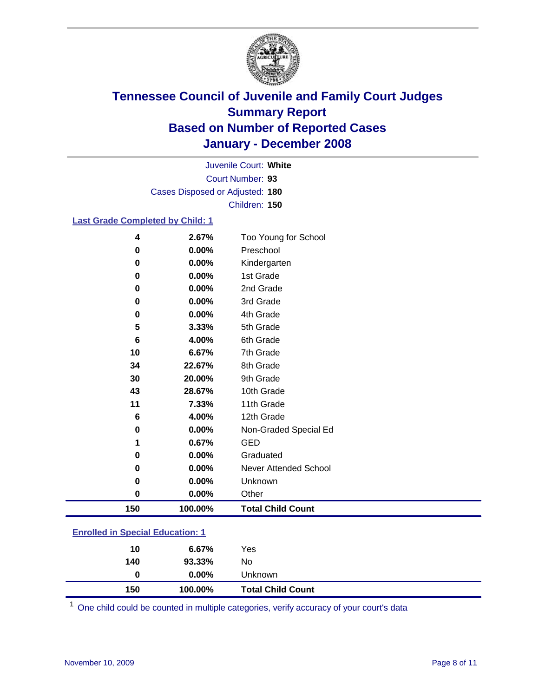

Court Number: **93** Juvenile Court: **White** Cases Disposed or Adjusted: **180** Children: **150**

### **Last Grade Completed by Child: 1**

| 30  | 20.00%  | 9th Grade                |
|-----|---------|--------------------------|
|     |         |                          |
| 43  | 28.67%  | 10th Grade               |
|     |         |                          |
| 11  | 7.33%   | 11th Grade               |
| 6   | 4.00%   | 12th Grade               |
| 0   | 0.00%   | Non-Graded Special Ed    |
| 1   | 0.67%   | <b>GED</b>               |
| 0   | 0.00%   | Graduated                |
| 0   | 0.00%   | Never Attended School    |
|     |         |                          |
| 0   | 0.00%   | Unknown                  |
| 0   | 0.00%   | Other                    |
| 150 | 100.00% | <b>Total Child Count</b> |

### **Enrolled in Special Education: 1**

| 140 | 93.33%   | No.                      |  |
|-----|----------|--------------------------|--|
| 0   | $0.00\%$ | Unknown                  |  |
| 150 | 100.00%  | <b>Total Child Count</b> |  |

One child could be counted in multiple categories, verify accuracy of your court's data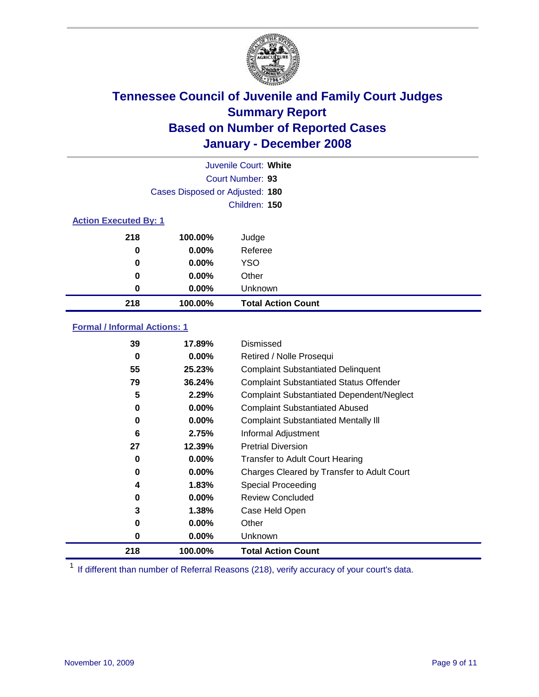

|                              | Juvenile Court: White           |                           |  |  |  |
|------------------------------|---------------------------------|---------------------------|--|--|--|
|                              | Court Number: 93                |                           |  |  |  |
|                              | Cases Disposed or Adjusted: 180 |                           |  |  |  |
|                              |                                 | Children: 150             |  |  |  |
| <b>Action Executed By: 1</b> |                                 |                           |  |  |  |
| 218                          | 100.00%                         | Judge                     |  |  |  |
| 0                            | $0.00\%$                        | Referee                   |  |  |  |
| 0                            | $0.00\%$                        | <b>YSO</b>                |  |  |  |
| 0                            | $0.00\%$                        | Other                     |  |  |  |
| 0                            | $0.00\%$                        | Unknown                   |  |  |  |
| 218                          | 100.00%                         | <b>Total Action Count</b> |  |  |  |

### **Formal / Informal Actions: 1**

| 39  | 17.89%   | Dismissed                                        |
|-----|----------|--------------------------------------------------|
| 0   | $0.00\%$ | Retired / Nolle Prosequi                         |
| 55  | 25.23%   | <b>Complaint Substantiated Delinquent</b>        |
| 79  | 36.24%   | <b>Complaint Substantiated Status Offender</b>   |
| 5   | 2.29%    | <b>Complaint Substantiated Dependent/Neglect</b> |
| 0   | 0.00%    | <b>Complaint Substantiated Abused</b>            |
| 0   | $0.00\%$ | <b>Complaint Substantiated Mentally III</b>      |
| 6   | 2.75%    | Informal Adjustment                              |
| 27  | 12.39%   | <b>Pretrial Diversion</b>                        |
| 0   | $0.00\%$ | <b>Transfer to Adult Court Hearing</b>           |
| 0   | $0.00\%$ | Charges Cleared by Transfer to Adult Court       |
| 4   | 1.83%    | Special Proceeding                               |
| 0   | $0.00\%$ | <b>Review Concluded</b>                          |
| 3   | 1.38%    | Case Held Open                                   |
| 0   | $0.00\%$ | Other                                            |
| 0   | $0.00\%$ | Unknown                                          |
| 218 | 100.00%  | <b>Total Action Count</b>                        |

<sup>1</sup> If different than number of Referral Reasons (218), verify accuracy of your court's data.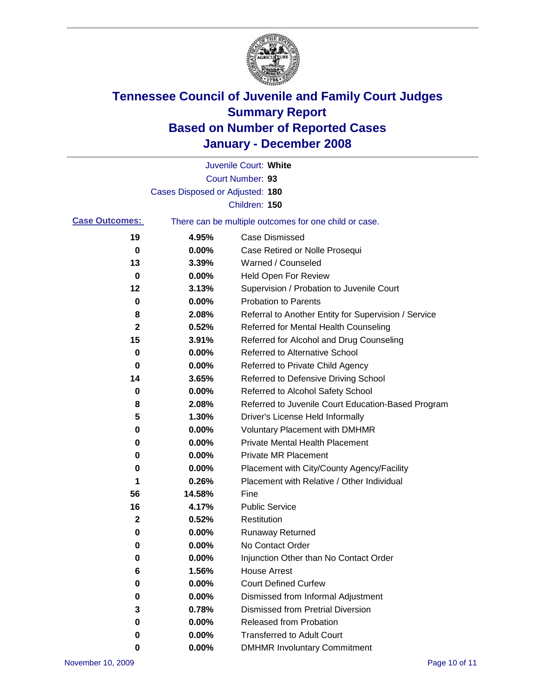

|                       |                                 | Juvenile Court: White                                 |
|-----------------------|---------------------------------|-------------------------------------------------------|
|                       |                                 | Court Number: 93                                      |
|                       | Cases Disposed or Adjusted: 180 |                                                       |
|                       |                                 | Children: 150                                         |
| <b>Case Outcomes:</b> |                                 | There can be multiple outcomes for one child or case. |
| 19                    | 4.95%                           | <b>Case Dismissed</b>                                 |
| 0                     | 0.00%                           | Case Retired or Nolle Prosequi                        |
| 13                    | 3.39%                           | Warned / Counseled                                    |
| 0                     | 0.00%                           | Held Open For Review                                  |
| 12                    | 3.13%                           | Supervision / Probation to Juvenile Court             |
| 0                     | 0.00%                           | <b>Probation to Parents</b>                           |
| 8                     | 2.08%                           | Referral to Another Entity for Supervision / Service  |
| 2                     | 0.52%                           | Referred for Mental Health Counseling                 |
| 15                    | 3.91%                           | Referred for Alcohol and Drug Counseling              |
| 0                     | 0.00%                           | <b>Referred to Alternative School</b>                 |
| 0                     | 0.00%                           | Referred to Private Child Agency                      |
| 14                    | 3.65%                           | Referred to Defensive Driving School                  |
| 0                     | 0.00%                           | Referred to Alcohol Safety School                     |
| 8                     | 2.08%                           | Referred to Juvenile Court Education-Based Program    |
| 5                     | 1.30%                           | Driver's License Held Informally                      |
| 0                     | 0.00%                           | <b>Voluntary Placement with DMHMR</b>                 |
| 0                     | 0.00%                           | <b>Private Mental Health Placement</b>                |
| 0                     | 0.00%                           | <b>Private MR Placement</b>                           |
| 0                     | 0.00%                           | Placement with City/County Agency/Facility            |
| 1                     | 0.26%                           | Placement with Relative / Other Individual            |
| 56                    | 14.58%                          | Fine                                                  |
| 16                    | 4.17%                           | <b>Public Service</b>                                 |
| 2                     | 0.52%                           | Restitution                                           |
| 0                     | 0.00%                           | <b>Runaway Returned</b>                               |
| 0                     | 0.00%                           | No Contact Order                                      |
| 0                     | $0.00\%$                        | Injunction Other than No Contact Order                |
| 6                     | 1.56%                           | <b>House Arrest</b>                                   |
| 0                     | 0.00%                           | <b>Court Defined Curfew</b>                           |
| 0                     | 0.00%                           | Dismissed from Informal Adjustment                    |
| 3                     | 0.78%                           | <b>Dismissed from Pretrial Diversion</b>              |
| 0                     | 0.00%                           | <b>Released from Probation</b>                        |
| 0                     | 0.00%                           | <b>Transferred to Adult Court</b>                     |
| 0                     | 0.00%                           | <b>DMHMR Involuntary Commitment</b>                   |